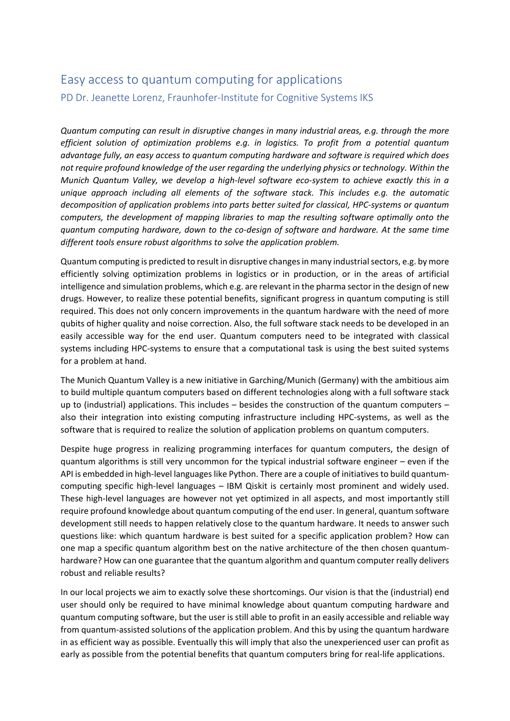## Easy access to quantum computing for applications PD Dr. Jeanette Lorenz, Fraunhofer-Institute for Cognitive Systems IKS

*Quantum computing can result in disruptive changes in many industrial areas, e.g. through the more efficient solution of optimization problems e.g. in logistics. To profit from a potential quantum advantage fully, an easy access to quantum computing hardware and software is required which does not require profound knowledge of the user regarding the underlying physics or technology. Within the Munich Quantum Valley, we develop a high-level software eco-system to achieve exactly this in a unique approach including all elements of the software stack. This includes e.g. the automatic decomposition of application problems into parts better suited for classical, HPC-systems or quantum computers, the development of mapping libraries to map the resulting software optimally onto the quantum computing hardware, down to the co-design of software and hardware. At the same time different tools ensure robust algorithms to solve the application problem.*

Quantum computing is predicted to result in disruptive changes in many industrial sectors, e.g. by more efficiently solving optimization problems in logistics or in production, or in the areas of artificial intelligence and simulation problems, which e.g. are relevant in the pharma sector in the design of new drugs. However, to realize these potential benefits, significant progress in quantum computing is still required. This does not only concern improvements in the quantum hardware with the need of more qubits of higher quality and noise correction. Also, the full software stack needs to be developed in an easily accessible way for the end user. Quantum computers need to be integrated with classical systems including HPC-systems to ensure that a computational task is using the best suited systems for a problem at hand.

The Munich Quantum Valley is a new initiative in Garching/Munich (Germany) with the ambitious aim to build multiple quantum computers based on different technologies along with a full software stack up to (industrial) applications. This includes – besides the construction of the quantum computers – also their integration into existing computing infrastructure including HPC-systems, as well as the software that is required to realize the solution of application problems on quantum computers.

Despite huge progress in realizing programming interfaces for quantum computers, the design of quantum algorithms is still very uncommon for the typical industrial software engineer – even if the API is embedded in high-level languages like Python. There are a couple of initiatives to build quantumcomputing specific high-level languages – IBM Qiskit is certainly most prominent and widely used. These high-level languages are however not yet optimized in all aspects, and most importantly still require profound knowledge about quantum computing of the end user. In general, quantum software development still needs to happen relatively close to the quantum hardware. It needs to answer such questions like: which quantum hardware is best suited for a specific application problem? How can one map a specific quantum algorithm best on the native architecture of the then chosen quantumhardware? How can one guarantee that the quantum algorithm and quantum computer really delivers robust and reliable results?

In our local projects we aim to exactly solve these shortcomings. Our vision is that the (industrial) end user should only be required to have minimal knowledge about quantum computing hardware and quantum computing software, but the user is still able to profit in an easily accessible and reliable way from quantum-assisted solutions of the application problem. And this by using the quantum hardware in as efficient way as possible. Eventually this will imply that also the unexperienced user can profit as early as possible from the potential benefits that quantum computers bring for real-life applications.